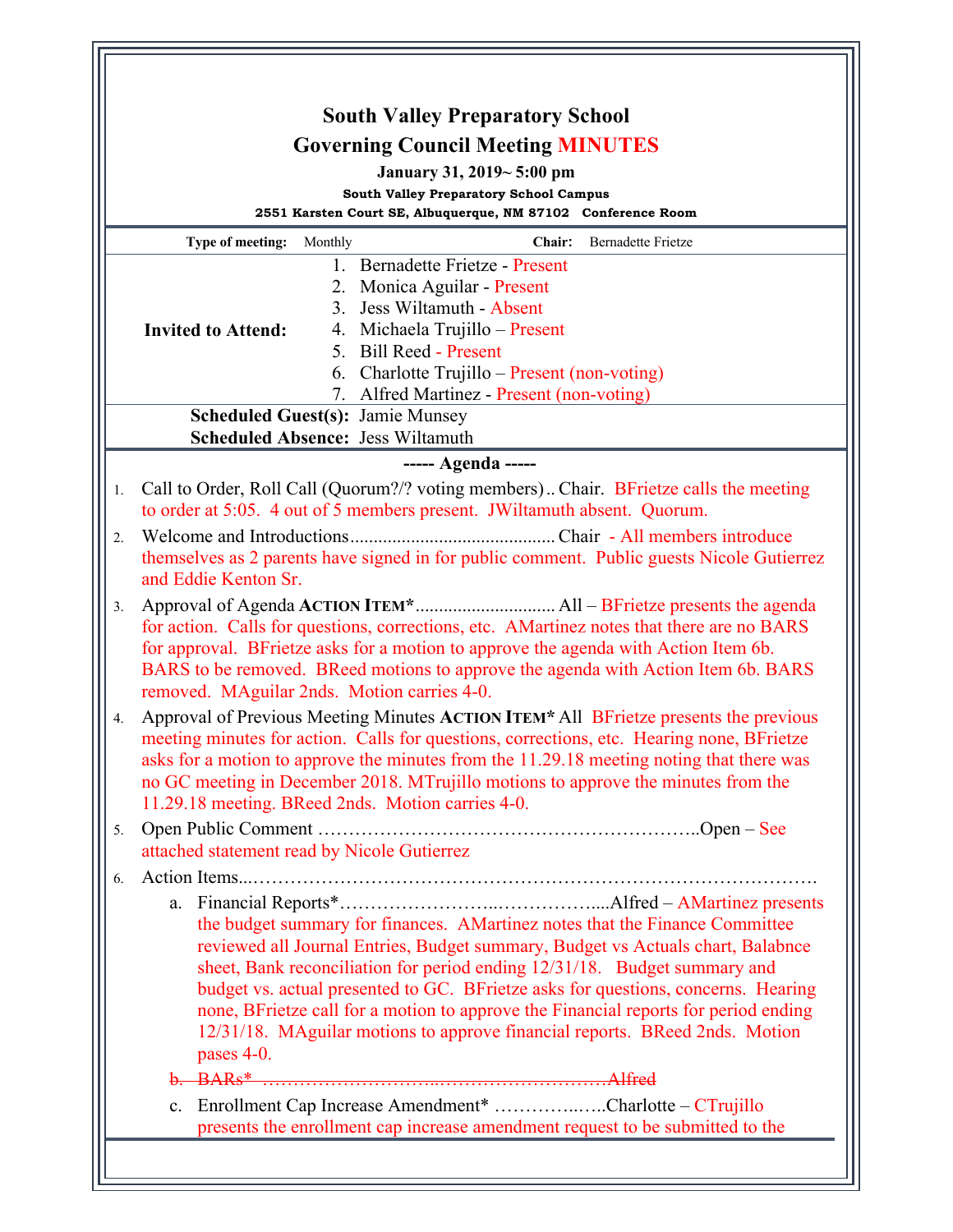|                        | <b>South Valley Preparatory School</b>                                                                                                                                                                                                                                                                                                                                                                                                                                                                               |
|------------------------|----------------------------------------------------------------------------------------------------------------------------------------------------------------------------------------------------------------------------------------------------------------------------------------------------------------------------------------------------------------------------------------------------------------------------------------------------------------------------------------------------------------------|
|                        | <b>Governing Council Meeting MINUTES</b>                                                                                                                                                                                                                                                                                                                                                                                                                                                                             |
|                        | January 31, 2019~5:00 pm<br><b>South Valley Preparatory School Campus</b>                                                                                                                                                                                                                                                                                                                                                                                                                                            |
|                        | 2551 Karsten Court SE, Albuquerque, NM 87102 Conference Room                                                                                                                                                                                                                                                                                                                                                                                                                                                         |
|                        | Chair:<br><b>Bernadette Frietze</b><br>Type of meeting:<br>Monthly                                                                                                                                                                                                                                                                                                                                                                                                                                                   |
|                        | 1. Bernadette Frietze - Present<br>2. Monica Aguilar - Present<br>3. Jess Wiltamuth - Absent<br>4. Michaela Trujillo - Present<br><b>Invited to Attend:</b><br>5. Bill Reed - Present<br>6. Charlotte Trujillo – Present (non-voting)                                                                                                                                                                                                                                                                                |
|                        | 7. Alfred Martinez - Present (non-voting)<br><b>Scheduled Guest(s): Jamie Munsey</b>                                                                                                                                                                                                                                                                                                                                                                                                                                 |
|                        | <b>Scheduled Absence: Jess Wiltamuth</b>                                                                                                                                                                                                                                                                                                                                                                                                                                                                             |
|                        | ----- Agenda -----                                                                                                                                                                                                                                                                                                                                                                                                                                                                                                   |
| 1.<br>$\overline{2}$ . | Call to Order, Roll Call (Quorum?/? voting members) Chair. BFrietze calls the meeting<br>to order at 5:05. 4 out of 5 members present. JWiltamuth absent. Quorum.<br>themselves as 2 parents have signed in for public comment. Public guests Nicole Gutierrez<br>and Eddie Kenton Sr.                                                                                                                                                                                                                               |
| 3.                     | for action. Calls for questions, corrections, etc. AMartinez notes that there are no BARS<br>for approval. BFrietze asks for a motion to approve the agenda with Action Item 6b.<br>BARS to be removed. BReed motions to approve the agenda with Action Item 6b. BARS<br>removed. MAguilar 2nds. Motion carries 4-0.                                                                                                                                                                                                 |
| 4.                     | Approval of Previous Meeting Minutes ACTION ITEM* All BFrietze presents the previous<br>meeting minutes for action. Calls for questions, corrections, etc. Hearing none, BFrietze<br>asks for a motion to approve the minutes from the 11.29.18 meeting noting that there was<br>no GC meeting in December 2018. MTrujillo motions to approve the minutes from the<br>11.29.18 meeting. BReed 2nds. Motion carries 4-0.                                                                                              |
| 5.                     | attached statement read by Nicole Gutierrez                                                                                                                                                                                                                                                                                                                                                                                                                                                                          |
| 6.                     | the budget summary for finances. AMartinez notes that the Finance Committee<br>reviewed all Journal Entries, Budget summary, Budget vs Actuals chart, Balabnce<br>sheet, Bank reconciliation for period ending 12/31/18. Budget summary and<br>budget vs. actual presented to GC. BFrietze asks for questions, concerns. Hearing<br>none, BFrietze call for a motion to approve the Financial reports for period ending<br>12/31/18. MAguilar motions to approve financial reports. BReed 2nds. Motion<br>pases 4-0. |
|                        | $BARs*$<br>b.                                                                                                                                                                                                                                                                                                                                                                                                                                                                                                        |
|                        | Enrollment Cap Increase Amendment* Charlotte – CTrujillo<br>c.<br>presents the enrollment cap increase amendment request to be submitted to the                                                                                                                                                                                                                                                                                                                                                                      |
|                        |                                                                                                                                                                                                                                                                                                                                                                                                                                                                                                                      |